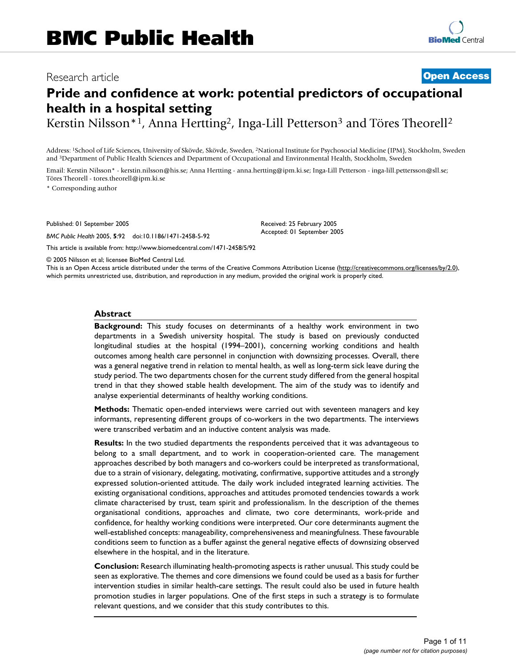# Research article **[Open Access](http://www.biomedcentral.com/info/about/charter/)**

# **Pride and confidence at work: potential predictors of occupational health in a hospital setting**

Kerstin Nilsson<sup>\*1</sup>, Anna Hertting<sup>2</sup>, Inga-Lill Petterson<sup>3</sup> and Töres Theorell<sup>2</sup>

Address: 1School of Life Sciences, University of Skövde, Skövde, Sweden, 2National Institute for Psychosocial Medicine (IPM), Stockholm, Sweden and 3Department of Public Health Sciences and Department of Occupational and Environmental Health, Stockholm, Sweden

Email: Kerstin Nilsson\* - kerstin.nilsson@his.se; Anna Hertting - anna.hertting@ipm.ki.se; Inga-Lill Petterson - inga-lill.pettersson@sll.se; Töres Theorell - tores.theorell@ipm.ki.se

\* Corresponding author

Published: 01 September 2005

*BMC Public Health* 2005, **5**:92 doi:10.1186/1471-2458-5-92

[This article is available from: http://www.biomedcentral.com/1471-2458/5/92](http://www.biomedcentral.com/1471-2458/5/92)

Received: 25 February 2005 Accepted: 01 September 2005

© 2005 Nilsson et al; licensee BioMed Central Ltd.

This is an Open Access article distributed under the terms of the Creative Commons Attribution License [\(http://creativecommons.org/licenses/by/2.0\)](http://creativecommons.org/licenses/by/2.0), which permits unrestricted use, distribution, and reproduction in any medium, provided the original work is properly cited.

#### **Abstract**

**Background:** This study focuses on determinants of a healthy work environment in two departments in a Swedish university hospital. The study is based on previously conducted longitudinal studies at the hospital (1994–2001), concerning working conditions and health outcomes among health care personnel in conjunction with downsizing processes. Overall, there was a general negative trend in relation to mental health, as well as long-term sick leave during the study period. The two departments chosen for the current study differed from the general hospital trend in that they showed stable health development. The aim of the study was to identify and analyse experiential determinants of healthy working conditions.

**Methods:** Thematic open-ended interviews were carried out with seventeen managers and key informants, representing different groups of co-workers in the two departments. The interviews were transcribed verbatim and an inductive content analysis was made.

**Results:** In the two studied departments the respondents perceived that it was advantageous to belong to a small department, and to work in cooperation-oriented care. The management approaches described by both managers and co-workers could be interpreted as transformational, due to a strain of visionary, delegating, motivating, confirmative, supportive attitudes and a strongly expressed solution-oriented attitude. The daily work included integrated learning activities. The existing organisational conditions, approaches and attitudes promoted tendencies towards a work climate characterised by trust, team spirit and professionalism. In the description of the themes organisational conditions, approaches and climate, two core determinants, work-pride and confidence, for healthy working conditions were interpreted. Our core determinants augment the well-established concepts: manageability, comprehensiveness and meaningfulness. These favourable conditions seem to function as a buffer against the general negative effects of downsizing observed elsewhere in the hospital, and in the literature.

**Conclusion:** Research illuminating health-promoting aspects is rather unusual. This study could be seen as explorative. The themes and core dimensions we found could be used as a basis for further intervention studies in similar health-care settings. The result could also be used in future health promotion studies in larger populations. One of the first steps in such a strategy is to formulate relevant questions, and we consider that this study contributes to this.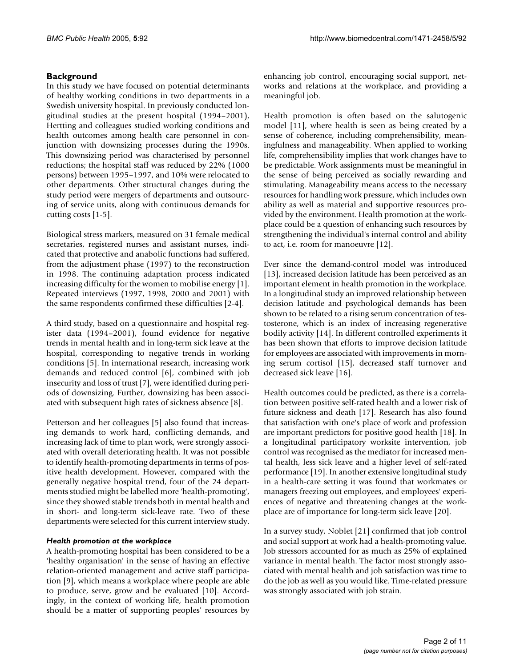# **Background**

In this study we have focused on potential determinants of healthy working conditions in two departments in a Swedish university hospital. In previously conducted longitudinal studies at the present hospital (1994–2001), Hertting and colleagues studied working conditions and health outcomes among health care personnel in conjunction with downsizing processes during the 1990s. This downsizing period was characterised by personnel reductions; the hospital staff was reduced by 22% (1000 persons) between 1995–1997, and 10% were relocated to other departments. Other structural changes during the study period were mergers of departments and outsourcing of service units, along with continuous demands for cutting costs [1-5].

Biological stress markers, measured on 31 female medical secretaries, registered nurses and assistant nurses, indicated that protective and anabolic functions had suffered, from the adjustment phase (1997) to the reconstruction in 1998. The continuing adaptation process indicated increasing difficulty for the women to mobilise energy [1]. Repeated interviews (1997, 1998, 2000 and 2001) with the same respondents confirmed these difficulties [2-4].

A third study, based on a questionnaire and hospital register data (1994–2001), found evidence for negative trends in mental health and in long-term sick leave at the hospital, corresponding to negative trends in working conditions [5]. In international research, increasing work demands and reduced control [6], combined with job insecurity and loss of trust [7], were identified during periods of downsizing. Further, downsizing has been associated with subsequent high rates of sickness absence [8].

Petterson and her colleagues [5] also found that increasing demands to work hard, conflicting demands, and increasing lack of time to plan work, were strongly associated with overall deteriorating health. It was not possible to identify health-promoting departments in terms of positive health development. However, compared with the generally negative hospital trend, four of the 24 departments studied might be labelled more 'health-promoting', since they showed stable trends both in mental health and in short- and long-term sick-leave rate. Two of these departments were selected for this current interview study.

## *Health promotion at the workplace*

A health-promoting hospital has been considered to be a 'healthy organisation' in the sense of having an effective relation-oriented management and active staff participation [9], which means a workplace where people are able to produce, serve, grow and be evaluated [10]. Accordingly, in the context of working life, health promotion should be a matter of supporting peoples' resources by enhancing job control, encouraging social support, networks and relations at the workplace, and providing a meaningful job.

Health promotion is often based on the salutogenic model [11], where health is seen as being created by a sense of coherence, including comprehensibility, meaningfulness and manageability. When applied to working life, comprehensibility implies that work changes have to be predictable. Work assignments must be meaningful in the sense of being perceived as socially rewarding and stimulating. Manageability means access to the necessary resources for handling work pressure, which includes own ability as well as material and supportive resources provided by the environment. Health promotion at the workplace could be a question of enhancing such resources by strengthening the individual's internal control and ability to act, i.e. room for manoeuvre [12].

Ever since the demand-control model was introduced [13], increased decision latitude has been perceived as an important element in health promotion in the workplace. In a longitudinal study an improved relationship between decision latitude and psychological demands has been shown to be related to a rising serum concentration of testosterone, which is an index of increasing regenerative bodily activity [14]. In different controlled experiments it has been shown that efforts to improve decision latitude for employees are associated with improvements in morning serum cortisol [15], decreased staff turnover and decreased sick leave [16].

Health outcomes could be predicted, as there is a correlation between positive self-rated health and a lower risk of future sickness and death [17]. Research has also found that satisfaction with one's place of work and profession are important predictors for positive good health [18]. In a longitudinal participatory worksite intervention, job control was recognised as the mediator for increased mental health, less sick leave and a higher level of self-rated performance [19]. In another extensive longitudinal study in a health-care setting it was found that workmates or managers freezing out employees, and employees' experiences of negative and threatening changes at the workplace are of importance for long-term sick leave [20].

In a survey study, Noblet [21] confirmed that job control and social support at work had a health-promoting value. Job stressors accounted for as much as 25% of explained variance in mental health. The factor most strongly associated with mental health and job satisfaction was time to do the job as well as you would like. Time-related pressure was strongly associated with job strain.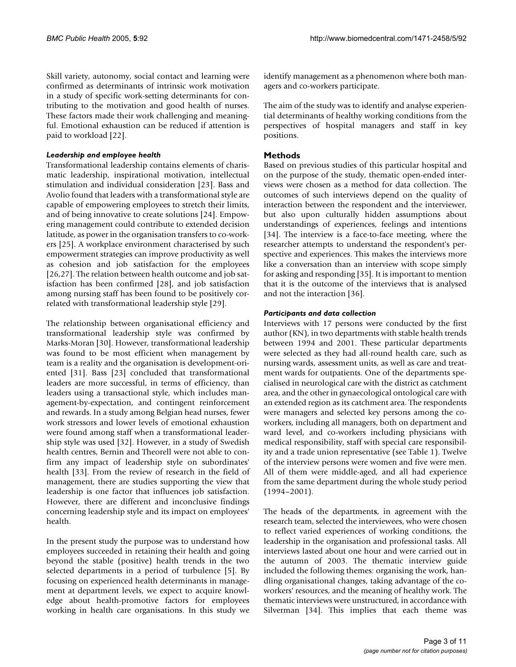Skill variety, autonomy, social contact and learning were confirmed as determinants of intrinsic work motivation in a study of specific work-setting determinants for contributing to the motivation and good health of nurses. These factors made their work challenging and meaningful. Emotional exhaustion can be reduced if attention is paid to workload [22].

#### *Leadership and employee health*

Transformational leadership contains elements of charismatic leadership, inspirational motivation, intellectual stimulation and individual consideration [23]. Bass and Avolio found that leaders with a transformational style are capable of empowering employees to stretch their limits, and of being innovative to create solutions [24]. Empowering management could contribute to extended decision latitude, as power in the organisation transfers to co-workers [25]. A workplace environment characterised by such empowerment strategies can improve productivity as well as cohesion and job satisfaction for the employees [26,27]. The relation between health outcome and job satisfaction has been confirmed [28], and job satisfaction among nursing staff has been found to be positively correlated with transformational leadership style [29].

The relationship between organisational efficiency and transformational leadership style was confirmed by Marks-Moran [30]. However, transformational leadership was found to be most efficient when management by team is a reality and the organisation is development-oriented [31]. Bass [23] concluded that transformational leaders are more successful, in terms of efficiency, than leaders using a transactional style, which includes management-by-expectation, and contingent reinforcement and rewards. In a study among Belgian head nurses, fewer work stressors and lower levels of emotional exhaustion were found among staff when a transformational leadership style was used [32]. However, in a study of Swedish health centres, Bernin and Theorell were not able to confirm any impact of leadership style on subordinates' health [33]. From the review of research in the field of management, there are studies supporting the view that leadership is one factor that influences job satisfaction. However, there are different and inconclusive findings concerning leadership style and its impact on employees' health.

In the present study the purpose was to understand how employees succeeded in retaining their health and going beyond the stable (positive) health trends in the two selected departments in a period of turbulence [5]. By focusing on experienced health determinants in management at department levels, we expect to acquire knowledge about health-promotive factors for employees working in health care organisations. In this study we

identify management as a phenomenon where both managers and co-workers participate.

The aim of the study was to identify and analyse experiential determinants of healthy working conditions from the perspectives of hospital managers and staff in key positions.

## **Methods**

Based on previous studies of this particular hospital and on the purpose of the study, thematic open-ended interviews were chosen as a method for data collection. The outcomes of such interviews depend on the quality of interaction between the respondent and the interviewer, but also upon culturally hidden assumptions about understandings of experiences, feelings and intentions [34]. The interview is a face-to-face meeting, where the researcher attempts to understand the respondent's perspective and experiences. This makes the interviews more like a conversation than an interview with scope simply for asking and responding [35]. It is important to mention that it is the outcome of the interviews that is analysed and not the interaction [36].

## *Participants and data collection*

Interviews with 17 persons were conducted by the first author (KN), in two departments with stable health trends between 1994 and 2001. These particular departments were selected as they had all-round health care, such as nursing wards, assessment units, as well as care and treatment wards for outpatients. One of the departments specialised in neurological care with the district as catchment area, and the other in gynaecological ontological care with an extended region as its catchment area. The respondents were managers and selected key persons among the coworkers, including all managers, both on department and ward level, and co-workers including physicians with medical responsibility, staff with special care responsibility and a trade union representative (see Table [1\)](#page-3-0). Twelve of the interview persons were women and five were men. All of them were middle-aged, and all had experience from the same department during the whole study period (1994–2001).

The head**s** of the department**s**, in agreement with the research team, selected the interviewees, who were chosen to reflect varied experiences of working conditions, the leadership in the organisation and professional tasks. All interviews lasted about one hour and were carried out in the autumn of 2003. The thematic interview guide included the following themes: organising the work, handling organisational changes, taking advantage of the coworkers' resources, and the meaning of healthy work. The thematic interviews were unstructured, in accordance with Silverman [34]. This implies that each theme was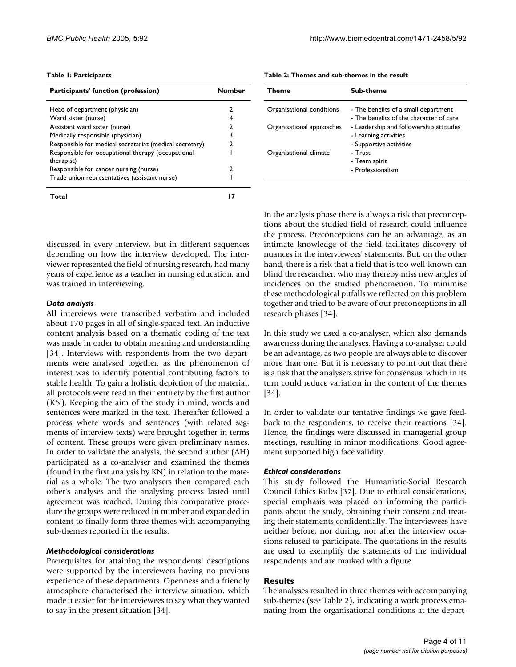#### <span id="page-3-0"></span>**Table 1: Participants**

| Participants' function (profession)                              | Numher |
|------------------------------------------------------------------|--------|
| Head of department (physician)                                   |        |
| Ward sister (nurse)                                              | 4      |
| Assistant ward sister (nurse)                                    | 2      |
| Medically responsible (physician)                                | 3      |
| Responsible for medical secretariat (medical secretary)          | 2      |
| Responsible for occupational therapy (occupational<br>therapist) |        |
| Responsible for cancer nursing (nurse)                           | 7      |
| Trade union representatives (assistant nurse)                    |        |
| Total                                                            |        |

discussed in every interview, but in different sequences depending on how the interview developed. The interviewer represented the field of nursing research, had many years of experience as a teacher in nursing education, and was trained in interviewing.

#### *Data analysis*

All interviews were transcribed verbatim and included about 170 pages in all of single-spaced text. An inductive content analysis based on a thematic coding of the text was made in order to obtain meaning and understanding [34]. Interviews with respondents from the two departments were analysed together, as the phenomenon of interest was to identify potential contributing factors to stable health. To gain a holistic depiction of the material, all protocols were read in their entirety by the first author (KN). Keeping the aim of the study in mind, words and sentences were marked in the text. Thereafter followed a process where words and sentences (with related segments of interview texts) were brought together in terms of content. These groups were given preliminary names. In order to validate the analysis, the second author (AH) participated as a co-analyser and examined the themes (found in the first analysis by KN) in relation to the material as a whole. The two analysers then compared each other's analyses and the analysing process lasted until agreement was reached. During this comparative procedure the groups were reduced in number and expanded in content to finally form three themes with accompanying sub-themes reported in the results.

#### *Methodological considerations*

Prerequisites for attaining the respondents' descriptions were supported by the interviewers having no previous experience of these departments. Openness and a friendly atmosphere characterised the interview situation, which made it easier for the interviewees to say what they wanted to say in the present situation [34].

**Table 2: Themes and sub-themes in the result**

| Theme                     | Sub-theme                                                                                   |
|---------------------------|---------------------------------------------------------------------------------------------|
| Organisational conditions | - The benefits of a small department<br>- The benefits of the character of care             |
| Organisational approaches | - Leadership and followership attitudes<br>- Learning activities<br>- Supportive activities |
| Organisational climate    | - Trust<br>- Team spirit<br>- Professionalism                                               |

In the analysis phase there is always a risk that preconceptions about the studied field of research could influence the process. Preconceptions can be an advantage, as an intimate knowledge of the field facilitates discovery of nuances in the interviewees' statements. But, on the other hand, there is a risk that a field that is too well-known can blind the researcher, who may thereby miss new angles of incidences on the studied phenomenon. To minimise these methodological pitfalls we reflected on this problem together and tried to be aware of our preconceptions in all research phases [34].

In this study we used a co-analyser, which also demands awareness during the analyses. Having a co-analyser could be an advantage, as two people are always able to discover more than one. But it is necessary to point out that there is a risk that the analysers strive for consensus, which in its turn could reduce variation in the content of the themes [34].

In order to validate our tentative findings we gave feedback to the respondents, to receive their reactions [34]. Hence, the findings were discussed in managerial group meetings, resulting in minor modifications. Good agreement supported high face validity.

#### *Ethical considerations*

This study followed the Humanistic-Social Research Council Ethics Rules [37]. Due to ethical considerations, special emphasis was placed on informing the participants about the study, obtaining their consent and treating their statements confidentially. The interviewees have neither before, nor during, nor after the interview occasions refused to participate. The quotations in the results are used to exemplify the statements of the individual respondents and are marked with a figure.

#### **Results**

The analyses resulted in three themes with accompanying sub-themes (see Table 2), indicating a work process emanating from the organisational conditions at the depart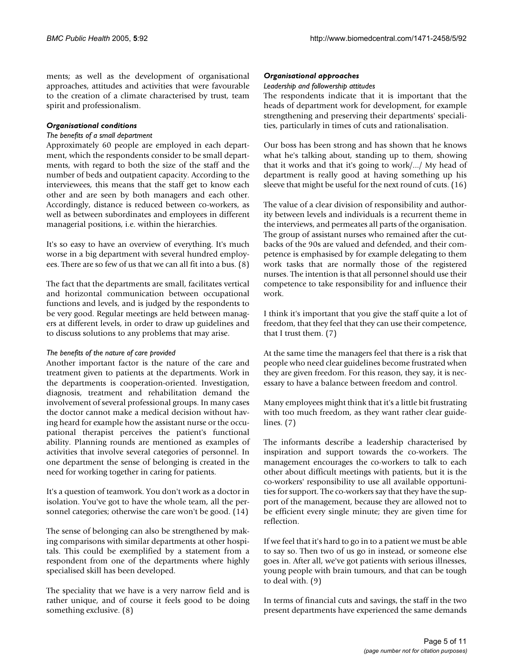ments; as well as the development of organisational approaches, attitudes and activities that were favourable to the creation of a climate characterised by trust, team spirit and professionalism.

#### *Organisational conditions*

#### *The benefits of a small department*

Approximately 60 people are employed in each department, which the respondents consider to be small departments, with regard to both the size of the staff and the number of beds and outpatient capacity. According to the interviewees, this means that the staff get to know each other and are seen by both managers and each other. Accordingly, distance is reduced between co-workers, as well as between subordinates and employees in different managerial positions, i.e. within the hierarchies.

It's so easy to have an overview of everything. It's much worse in a big department with several hundred employees. There are so few of us that we can all fit into a bus. (8)

The fact that the departments are small, facilitates vertical and horizontal communication between occupational functions and levels, and is judged by the respondents to be very good. Regular meetings are held between managers at different levels, in order to draw up guidelines and to discuss solutions to any problems that may arise.

#### *The benefits of the nature of care provided*

Another important factor is the nature of the care and treatment given to patients at the departments. Work in the departments is cooperation-oriented. Investigation, diagnosis, treatment and rehabilitation demand the involvement of several professional groups. In many cases the doctor cannot make a medical decision without having heard for example how the assistant nurse or the occupational therapist perceives the patient's functional ability. Planning rounds are mentioned as examples of activities that involve several categories of personnel. In one department the sense of belonging is created in the need for working together in caring for patients.

It's a question of teamwork. You don't work as a doctor in isolation. You've got to have the whole team, all the personnel categories; otherwise the care won't be good. (14)

The sense of belonging can also be strengthened by making comparisons with similar departments at other hospitals. This could be exemplified by a statement from a respondent from one of the departments where highly specialised skill has been developed.

The speciality that we have is a very narrow field and is rather unique, and of course it feels good to be doing something exclusive. (8)

#### *Organisational approaches*

#### *Leadership and followership attitudes*

The respondents indicate that it is important that the heads of department work for development, for example strengthening and preserving their departments' specialities, particularly in times of cuts and rationalisation.

Our boss has been strong and has shown that he knows what he's talking about, standing up to them, showing that it works and that it's going to work/.../ My head of department is really good at having something up his sleeve that might be useful for the next round of cuts. (16)

The value of a clear division of responsibility and authority between levels and individuals is a recurrent theme in the interviews, and permeates all parts of the organisation. The group of assistant nurses who remained after the cutbacks of the 90s are valued and defended, and their competence is emphasised by for example delegating to them work tasks that are normally those of the registered nurses. The intention is that all personnel should use their competence to take responsibility for and influence their work.

I think it's important that you give the staff quite a lot of freedom, that they feel that they can use their competence, that I trust them. (7)

At the same time the managers feel that there is a risk that people who need clear guidelines become frustrated when they are given freedom. For this reason, they say, it is necessary to have a balance between freedom and control.

Many employees might think that it's a little bit frustrating with too much freedom, as they want rather clear guidelines. (7)

The informants describe a leadership characterised by inspiration and support towards the co-workers. The management encourages the co-workers to talk to each other about difficult meetings with patients, but it is the co-workers' responsibility to use all available opportunities for support. The co-workers say that they have the support of the management, because they are allowed not to be efficient every single minute; they are given time for reflection.

If we feel that it's hard to go in to a patient we must be able to say so. Then two of us go in instead, or someone else goes in. After all, we've got patients with serious illnesses, young people with brain tumours, and that can be tough to deal with. (9)

In terms of financial cuts and savings, the staff in the two present departments have experienced the same demands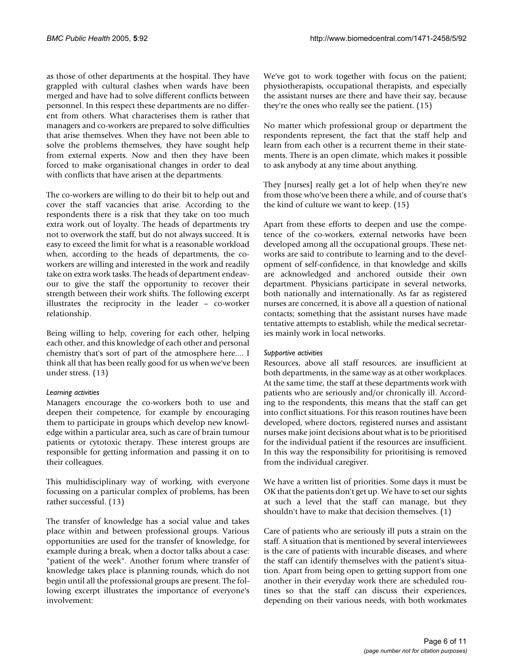as those of other departments at the hospital. They have grappled with cultural clashes when wards have been merged and have had to solve different conflicts between personnel. In this respect these departments are no different from others. What characterises them is rather that managers and co-workers are prepared to solve difficulties that arise themselves. When they have not been able to solve the problems themselves, they have sought help from external experts. Now and then they have been forced to make organisational changes in order to deal with conflicts that have arisen at the departments.

The co-workers are willing to do their bit to help out and cover the staff vacancies that arise. According to the respondents there is a risk that they take on too much extra work out of loyalty. The heads of departments try not to overwork the staff, but do not always succeed. It is easy to exceed the limit for what is a reasonable workload when, according to the heads of departments, the coworkers are willing and interested in the work and readily take on extra work tasks. The heads of department endeavour to give the staff the opportunity to recover their strength between their work shifts. The following excerpt illustrates the reciprocity in the leader – co-worker relationship.

Being willing to help, covering for each other, helping each other, and this knowledge of each other and personal chemistry that's sort of part of the atmosphere here.... I think all that has been really good for us when we've been under stress. (13)

## *Learning activities*

Managers encourage the co-workers both to use and deepen their competence, for example by encouraging them to participate in groups which develop new knowledge within a particular area, such as care of brain tumour patients or cytotoxic therapy. These interest groups are responsible for getting information and passing it on to their colleagues.

This multidisciplinary way of working, with everyone focussing on a particular complex of problems, has been rather successful. (13)

The transfer of knowledge has a social value and takes place within and between professional groups. Various opportunities are used for the transfer of knowledge, for example during a break, when a doctor talks about a case: "patient of the week". Another forum where transfer of knowledge takes place is planning rounds, which do not begin until all the professional groups are present. The following excerpt illustrates the importance of everyone's involvement:

We've got to work together with focus on the patient; physiotherapists, occupational therapists, and especially the assistant nurses are there and have their say, because they're the ones who really see the patient. (15)

No matter which professional group or department the respondents represent, the fact that the staff help and learn from each other is a recurrent theme in their statements. There is an open climate, which makes it possible to ask anybody at any time about anything.

They [nurses] really get a lot of help when they're new from those who've been there a while, and of course that's the kind of culture we want to keep. (15)

Apart from these efforts to deepen and use the competence of the co-workers, external networks have been developed among all the occupational groups. These networks are said to contribute to learning and to the development of self-confidence, in that knowledge and skills are acknowledged and anchored outside their own department. Physicians participate in several networks, both nationally and internationally. As far as registered nurses are concerned, it is above all a question of national contacts; something that the assistant nurses have made tentative attempts to establish, while the medical secretaries mainly work in local networks.

#### *Supportive activities*

Resources, above all staff resources, are insufficient at both departments, in the same way as at other workplaces. At the same time, the staff at these departments work with patients who are seriously and/or chronically ill. According to the respondents, this means that the staff can get into conflict situations. For this reason routines have been developed, where doctors, registered nurses and assistant nurses make joint decisions about what is to be prioritised for the individual patient if the resources are insufficient. In this way the responsibility for prioritising is removed from the individual caregiver.

We have a written list of priorities. Some days it must be OK that the patients don't get up. We have to set our sights at such a level that the staff can manage, but they shouldn't have to make that decision themselves. (1)

Care of patients who are seriously ill puts a strain on the staff. A situation that is mentioned by several interviewees is the care of patients with incurable diseases, and where the staff can identify themselves with the patient's situation. Apart from being open to getting support from one another in their everyday work there are scheduled routines so that the staff can discuss their experiences, depending on their various needs, with both workmates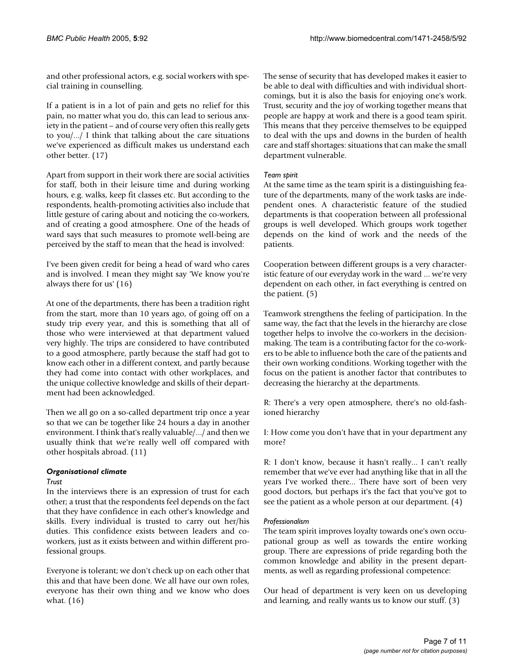and other professional actors, e.g. social workers with special training in counselling.

If a patient is in a lot of pain and gets no relief for this pain, no matter what you do, this can lead to serious anxiety in the patient – and of course very often this really gets to you/.../ I think that talking about the care situations we've experienced as difficult makes us understand each other better. (17)

Apart from support in their work there are social activities for staff, both in their leisure time and during working hours, e.g. walks, keep fit classes etc. But according to the respondents, health-promoting activities also include that little gesture of caring about and noticing the co-workers, and of creating a good atmosphere. One of the heads of ward says that such measures to promote well-being are perceived by the staff to mean that the head is involved:

I've been given credit for being a head of ward who cares and is involved. I mean they might say 'We know you're always there for us' (16)

At one of the departments, there has been a tradition right from the start, more than 10 years ago, of going off on a study trip every year, and this is something that all of those who were interviewed at that department valued very highly. The trips are considered to have contributed to a good atmosphere, partly because the staff had got to know each other in a different context, and partly because they had come into contact with other workplaces, and the unique collective knowledge and skills of their department had been acknowledged.

Then we all go on a so-called department trip once a year so that we can be together like 24 hours a day in another environment. I think that's really valuable/.../ and then we usually think that we're really well off compared with other hospitals abroad. (11)

## *Organisational climate*

#### *Trust*

In the interviews there is an expression of trust for each other; a trust that the respondents feel depends on the fact that they have confidence in each other's knowledge and skills. Every individual is trusted to carry out her/his duties. This confidence exists between leaders and coworkers, just as it exists between and within different professional groups.

Everyone is tolerant; we don't check up on each other that this and that have been done. We all have our own roles, everyone has their own thing and we know who does what. (16)

The sense of security that has developed makes it easier to be able to deal with difficulties and with individual shortcomings, but it is also the basis for enjoying one's work. Trust, security and the joy of working together means that people are happy at work and there is a good team spirit. This means that they perceive themselves to be equipped to deal with the ups and downs in the burden of health care and staff shortages: situations that can make the small department vulnerable.

## *Team spirit*

At the same time as the team spirit is a distinguishing feature of the departments, many of the work tasks are independent ones. A characteristic feature of the studied departments is that cooperation between all professional groups is well developed. Which groups work together depends on the kind of work and the needs of the patients.

Cooperation between different groups is a very characteristic feature of our everyday work in the ward ... we're very dependent on each other, in fact everything is centred on the patient. (5)

Teamwork strengthens the feeling of participation. In the same way, the fact that the levels in the hierarchy are close together helps to involve the co-workers in the decisionmaking. The team is a contributing factor for the co-workers to be able to influence both the care of the patients and their own working conditions. Working together with the focus on the patient is another factor that contributes to decreasing the hierarchy at the departments.

R: There's a very open atmosphere, there's no old-fashioned hierarchy

I: How come you don't have that in your department any more?

R: I don't know, because it hasn't really... I can't really remember that we've ever had anything like that in all the years I've worked there... There have sort of been very good doctors, but perhaps it's the fact that you've got to see the patient as a whole person at our department. (4)

## *Professionalism*

The team spirit improves loyalty towards one's own occupational group as well as towards the entire working group. There are expressions of pride regarding both the common knowledge and ability in the present departments, as well as regarding professional competence:

Our head of department is very keen on us developing and learning, and really wants us to know our stuff. (3)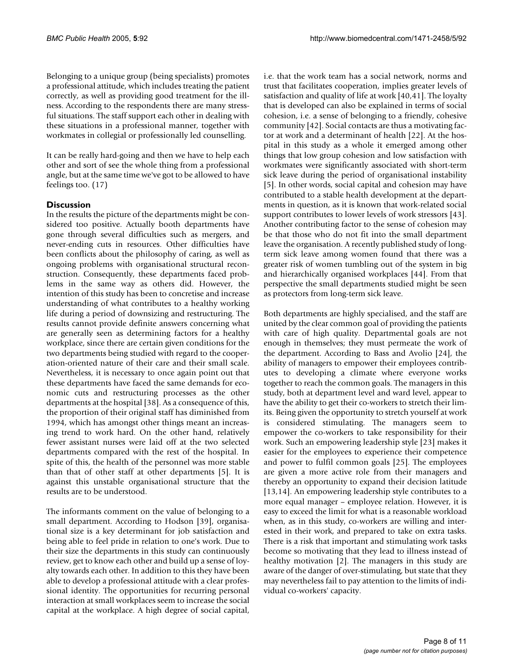Belonging to a unique group (being specialists) promotes a professional attitude, which includes treating the patient correctly, as well as providing good treatment for the illness. According to the respondents there are many stressful situations. The staff support each other in dealing with these situations in a professional manner, together with workmates in collegial or professionally led counselling.

It can be really hard-going and then we have to help each other and sort of see the whole thing from a professional angle, but at the same time we've got to be allowed to have feelings too. (17)

## **Discussion**

In the results the picture of the departments might be considered too positive. Actually booth departments have gone through several difficulties such as mergers, and never-ending cuts in resources. Other difficulties have been conflicts about the philosophy of caring, as well as ongoing problems with organisational structural reconstruction. Consequently, these departments faced problems in the same way as others did. However, the intention of this study has been to concretise and increase understanding of what contributes to a healthy working life during a period of downsizing and restructuring. The results cannot provide definite answers concerning what are generally seen as determining factors for a healthy workplace, since there are certain given conditions for the two departments being studied with regard to the cooperation-oriented nature of their care and their small scale. Nevertheless, it is necessary to once again point out that these departments have faced the same demands for economic cuts and restructuring processes as the other departments at the hospital [38]. As a consequence of this, the proportion of their original staff has diminished from 1994, which has amongst other things meant an increasing trend to work hard. On the other hand, relatively fewer assistant nurses were laid off at the two selected departments compared with the rest of the hospital. In spite of this, the health of the personnel was more stable than that of other staff at other departments [5]. It is against this unstable organisational structure that the results are to be understood.

The informants comment on the value of belonging to a small department. According to Hodson [39], organisational size is a key determinant for job satisfaction and being able to feel pride in relation to one's work. Due to their size the departments in this study can continuously review, get to know each other and build up a sense of loyalty towards each other. In addition to this they have been able to develop a professional attitude with a clear professional identity. The opportunities for recurring personal interaction at small workplaces seem to increase the social capital at the workplace. A high degree of social capital,

i.e. that the work team has a social network, norms and trust that facilitates cooperation, implies greater levels of satisfaction and quality of life at work [40,41]. The loyalty that is developed can also be explained in terms of social cohesion, i.e. a sense of belonging to a friendly, cohesive community [42]. Social contacts are thus a motivating factor at work and a determinant of health [22]. At the hospital in this study as a whole it emerged among other things that low group cohesion and low satisfaction with workmates were significantly associated with short-term sick leave during the period of organisational instability [5]. In other words, social capital and cohesion may have contributed to a stable health development at the departments in question, as it is known that work-related social support contributes to lower levels of work stressors [43]. Another contributing factor to the sense of cohesion may be that those who do not fit into the small department leave the organisation. A recently published study of longterm sick leave among women found that there was a greater risk of women tumbling out of the system in big and hierarchically organised workplaces [44]. From that perspective the small departments studied might be seen as protectors from long-term sick leave.

Both departments are highly specialised, and the staff are united by the clear common goal of providing the patients with care of high quality. Departmental goals are not enough in themselves; they must permeate the work of the department. According to Bass and Avolio [24], the ability of managers to empower their employees contributes to developing a climate where everyone works together to reach the common goals. The managers in this study, both at department level and ward level, appear to have the ability to get their co-workers to stretch their limits. Being given the opportunity to stretch yourself at work is considered stimulating. The managers seem to empower the co-workers to take responsibility for their work. Such an empowering leadership style [23] makes it easier for the employees to experience their competence and power to fulfil common goals [25]. The employees are given a more active role from their managers and thereby an opportunity to expand their decision latitude [13,14]. An empowering leadership style contributes to a more equal manager – employee relation. However, it is easy to exceed the limit for what is a reasonable workload when, as in this study, co-workers are willing and interested in their work, and prepared to take on extra tasks. There is a risk that important and stimulating work tasks become so motivating that they lead to illness instead of healthy motivation [2]. The managers in this study are aware of the danger of over-stimulating, but state that they may nevertheless fail to pay attention to the limits of individual co-workers' capacity.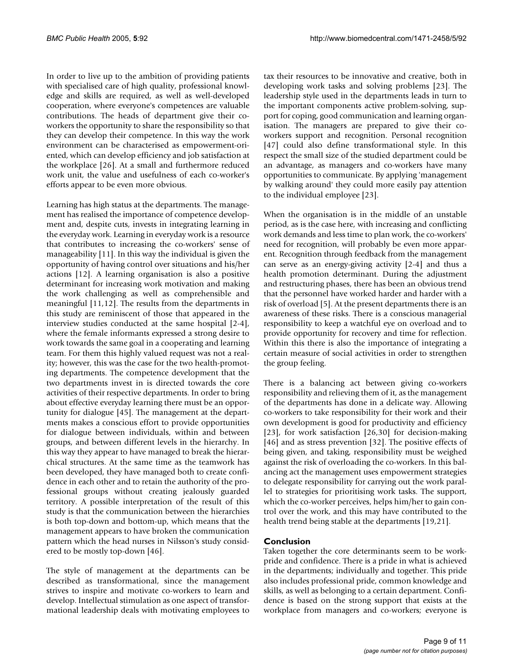In order to live up to the ambition of providing patients with specialised care of high quality, professional knowledge and skills are required, as well as well-developed cooperation, where everyone's competences are valuable contributions. The heads of department give their coworkers the opportunity to share the responsibility so that they can develop their competence. In this way the work environment can be characterised as empowerment-oriented, which can develop efficiency and job satisfaction at the workplace [26]. At a small and furthermore reduced work unit, the value and usefulness of each co-worker's efforts appear to be even more obvious.

Learning has high status at the departments. The management has realised the importance of competence development and, despite cuts, invests in integrating learning in the everyday work. Learning in everyday work is a resource that contributes to increasing the co-workers' sense of manageability [11]. In this way the individual is given the opportunity of having control over situations and his/her actions [12]. A learning organisation is also a positive determinant for increasing work motivation and making the work challenging as well as comprehensible and meaningful [11,12]. The results from the departments in this study are reminiscent of those that appeared in the interview studies conducted at the same hospital [2-4], where the female informants expressed a strong desire to work towards the same goal in a cooperating and learning team. For them this highly valued request was not a reality; however, this was the case for the two health-promoting departments. The competence development that the two departments invest in is directed towards the core activities of their respective departments. In order to bring about effective everyday learning there must be an opportunity for dialogue [45]. The management at the departments makes a conscious effort to provide opportunities for dialogue between individuals, within and between groups, and between different levels in the hierarchy. In this way they appear to have managed to break the hierarchical structures. At the same time as the teamwork has been developed, they have managed both to create confidence in each other and to retain the authority of the professional groups without creating jealously guarded territory. A possible interpretation of the result of this study is that the communication between the hierarchies is both top-down and bottom-up, which means that the management appears to have broken the communication pattern which the head nurses in Nilsson's study considered to be mostly top-down [46].

The style of management at the departments can be described as transformational, since the management strives to inspire and motivate co-workers to learn and develop. Intellectual stimulation as one aspect of transformational leadership deals with motivating employees to

tax their resources to be innovative and creative, both in developing work tasks and solving problems [23]. The leadership style used in the departments leads in turn to the important components active problem-solving, support for coping, good communication and learning organisation. The managers are prepared to give their coworkers support and recognition. Personal recognition [47] could also define transformational style. In this respect the small size of the studied department could be an advantage, as managers and co-workers have many opportunities to communicate. By applying 'management by walking around' they could more easily pay attention to the individual employee [23].

When the organisation is in the middle of an unstable period, as is the case here, with increasing and conflicting work demands and less time to plan work, the co-workers' need for recognition, will probably be even more apparent. Recognition through feedback from the management can serve as an energy-giving activity [2-4] and thus a health promotion determinant. During the adjustment and restructuring phases, there has been an obvious trend that the personnel have worked harder and harder with a risk of overload [5]. At the present departments there is an awareness of these risks. There is a conscious managerial responsibility to keep a watchful eye on overload and to provide opportunity for recovery and time for reflection. Within this there is also the importance of integrating a certain measure of social activities in order to strengthen the group feeling.

There is a balancing act between giving co-workers responsibility and relieving them of it, as the management of the departments has done in a delicate way. Allowing co-workers to take responsibility for their work and their own development is good for productivity and efficiency [23], for work satisfaction [26,30] for decision-making [46] and as stress prevention [32]. The positive effects of being given, and taking, responsibility must be weighed against the risk of overloading the co-workers. In this balancing act the management uses empowerment strategies to delegate responsibility for carrying out the work parallel to strategies for prioritising work tasks. The support, which the co-worker perceives, helps him/her to gain control over the work, and this may have contributed to the health trend being stable at the departments [19,21].

## **Conclusion**

Taken together the core determinants seem to be workpride and confidence. There is a pride in what is achieved in the departments; individually and together. This pride also includes professional pride, common knowledge and skills, as well as belonging to a certain department. Confidence is based on the strong support that exists at the workplace from managers and co-workers; everyone is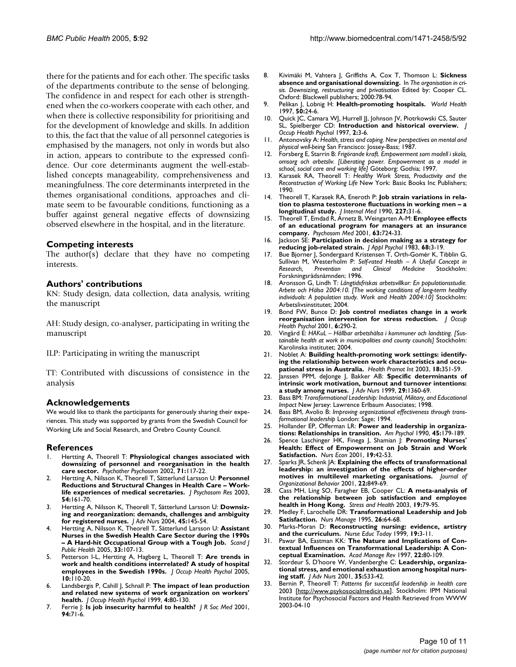there for the patients and for each other. The specific tasks of the departments contribute to the sense of belonging. The confidence in and respect for each other is strengthened when the co-workers cooperate with each other, and when there is collective responsibility for prioritising and for the development of knowledge and skills. In addition to this, the fact that the value of all personnel categories is emphasised by the managers, not only in words but also in action, appears to contribute to the expressed confidence. Our core determinants augment the well-established concepts manageability, comprehensiveness and meaningfulness. The core determinants interpreted in the themes organisational conditions, approaches and climate seem to be favourable conditions, functioning as a buffer against general negative effects of downsizing observed elsewhere in the hospital, and in the literature.

#### **Competing interests**

The author(s) declare that they have no competing interests.

#### **Authors' contributions**

KN: Study design, data collection, data analysis, writing the manuscript

AH: Study design, co-analyser, participating in writing the manuscript

ILP: Participating in writing the manuscript

TT: Contributed with discussions of consistence in the analysis

#### **Acknowledgements**

We would like to thank the participants for generously sharing their experiences. This study was supported by grants from the Swedish Council for Working Life and Social Research, and Örebro County Council.

#### **References**

- 1. Hertting A, Theorell T: **[Physiological changes associated with](http://www.ncbi.nlm.nih.gov/entrez/query.fcgi?cmd=Retrieve&db=PubMed&dopt=Abstract&list_uids=11844949) [downsizing of personnel and reorganisation in the health](http://www.ncbi.nlm.nih.gov/entrez/query.fcgi?cmd=Retrieve&db=PubMed&dopt=Abstract&list_uids=11844949) [care sector.](http://www.ncbi.nlm.nih.gov/entrez/query.fcgi?cmd=Retrieve&db=PubMed&dopt=Abstract&list_uids=11844949)** *Psychother Psychosom* 2002, **71:**117-22.
- 2. Hertting A, Nilsson K, Theorell T, Sätterlund Larsson U: **[Personnel](http://www.ncbi.nlm.nih.gov/entrez/query.fcgi?cmd=Retrieve&db=PubMed&dopt=Abstract&list_uids=12573738) [Reductions and Structural Changes in Health Care – Work](http://www.ncbi.nlm.nih.gov/entrez/query.fcgi?cmd=Retrieve&db=PubMed&dopt=Abstract&list_uids=12573738)[life experiences of medical secretaries.](http://www.ncbi.nlm.nih.gov/entrez/query.fcgi?cmd=Retrieve&db=PubMed&dopt=Abstract&list_uids=12573738)** *J Psychosom Res* 2003, **54:**161-70.
- 3. Hertting A, Nilsson K, Theorell T, Sätterlund Larsson U: **[Downsiz](http://www.ncbi.nlm.nih.gov/entrez/query.fcgi?cmd=Retrieve&db=PubMed&dopt=Abstract&list_uids=14705999)[ing and reorganization: demands, challenges and ambiguity](http://www.ncbi.nlm.nih.gov/entrez/query.fcgi?cmd=Retrieve&db=PubMed&dopt=Abstract&list_uids=14705999) [for registered nurses.](http://www.ncbi.nlm.nih.gov/entrez/query.fcgi?cmd=Retrieve&db=PubMed&dopt=Abstract&list_uids=14705999)** *J Adv Nurs* 2004, **45:**145-54.
- 4. Hertting A, Nilsson K, Theorell T, Sätterlund Larsson U: **[Assistant](http://www.ncbi.nlm.nih.gov/entrez/query.fcgi?cmd=Retrieve&db=PubMed&dopt=Abstract&list_uids=15823971) [Nurses in the Swedish Health Care Sector during the 1990s](http://www.ncbi.nlm.nih.gov/entrez/query.fcgi?cmd=Retrieve&db=PubMed&dopt=Abstract&list_uids=15823971) [– A Hard-hit Occupational Group with a Tough Job.](http://www.ncbi.nlm.nih.gov/entrez/query.fcgi?cmd=Retrieve&db=PubMed&dopt=Abstract&list_uids=15823971)** *Scand J Public Health* 2005, **33:**107-13.
- 5. Petterson I-L, Hertting A, Hagberg L, Theorell T: **[Are trends in](http://www.ncbi.nlm.nih.gov/entrez/query.fcgi?cmd=Retrieve&db=PubMed&dopt=Abstract&list_uids=15826222) [work and health conditions interrelated? A study of hospital](http://www.ncbi.nlm.nih.gov/entrez/query.fcgi?cmd=Retrieve&db=PubMed&dopt=Abstract&list_uids=15826222) [employees in the Swedish 1990s.](http://www.ncbi.nlm.nih.gov/entrez/query.fcgi?cmd=Retrieve&db=PubMed&dopt=Abstract&list_uids=15826222)** *J Occup Health Psychol* 2005, **10:**110-20.
- 6. Landsbergis P, Cahill J, Schnall P: **The impact of lean production and related new systems of work organization on workers' health.** *J Occup Health Psychol* 1999, **4:**80-130.
- 7. Ferrie J: **[Is job insecurity harmful to health?](http://www.ncbi.nlm.nih.gov/entrez/query.fcgi?cmd=Retrieve&db=PubMed&dopt=Abstract&list_uids=11234203)** *J R Soc Med* 2001, **94:**71-6.
- 8. Kivimäki M, Vahtera J, Griffiths A, Cox T, Thomson L: **Sickness absence and organisational downsizing.** In *The organisation in crisis. Downsizing, restructuring and privatisation* Edited by: Cooper CL. Oxford: Blackwell publishers; 2000:78-94.
- 9. Pelikan J, Lobnig H: **Health-promoting hospitals.** *World Health* 1997, **50:**24-6.
- 10. Quick JC, Camara WJ, Hurrell JJ, Johnson JV, Piotrkowski CS, Sauter SL, Spielberger CD: **[Introduction and historical overview.](http://www.ncbi.nlm.nih.gov/entrez/query.fcgi?cmd=Retrieve&db=PubMed&dopt=Abstract&list_uids=9552274)** *J Occup Health Psychol* 1997, **2:**3-6.
- 11. Antonovsky A: *Health, stress and coping. New perspectives on mental and physical well-being* San Francisco: Jossey-Bass; 1987.
- 12. Forsberg E, Starrin B: *Frigörande kraft. Empowerment som modell i skola, omsorg och arbetsliv. [Liberating power. Empowerment as a model in school, social care and working life]* Göteborg: Gothia; 1997.
- 13. Karasek RA, Theorell T: *Healthy Work Stress, Productivity and the Reconstruction of Working Life* New York: Basic Books Inc Publishers; 1990.
- 14. Theorell T, Karasek RA, Eneroth P: **[Job strain variations in rela](http://www.ncbi.nlm.nih.gov/entrez/query.fcgi?cmd=Retrieve&db=PubMed&dopt=Abstract&list_uids=2299296)[tion to plasma testosterone fluctuations in working men – a](http://www.ncbi.nlm.nih.gov/entrez/query.fcgi?cmd=Retrieve&db=PubMed&dopt=Abstract&list_uids=2299296) [longitudinal study.](http://www.ncbi.nlm.nih.gov/entrez/query.fcgi?cmd=Retrieve&db=PubMed&dopt=Abstract&list_uids=2299296)** *J Internal Med* 1990, **227:**31-6.
- 15. Theorell T, Emdad R, Arnetz B, Weingarten A-M: **[Employee effects](http://www.ncbi.nlm.nih.gov/entrez/query.fcgi?cmd=Retrieve&db=PubMed&dopt=Abstract&list_uids=11573019) [of an educational program for managers at an insurance](http://www.ncbi.nlm.nih.gov/entrez/query.fcgi?cmd=Retrieve&db=PubMed&dopt=Abstract&list_uids=11573019) [company.](http://www.ncbi.nlm.nih.gov/entrez/query.fcgi?cmd=Retrieve&db=PubMed&dopt=Abstract&list_uids=11573019)** *Psychosom Med* 2001, **63:**724-33.
- 16. Jackson SE: **Participation in decision making as a strategy for reducing job-related strain.** *J Appl Psychol* 1983, **68:**3-19.
- 17. Bue Bjorner J, Sondergaard Kristensen T, Orth-Gomér K, Tibblin G, Sullivan M, Westerholm P: *Self-rated Health – A Useful Concept in Prevention* Forskningsrådsnämnden; 1996.
- 18. Aronsson G, Lindh T: *Långtidsfriskas arbetsvillkor: En populationsstudie. Arbete och Hälsa 2004:10. [The working conditions of long-term healthy individuals: A population study. Work and Health 2004:10]* Stockholm: Arbetslivsinstitutet; 2004.
- 19. Bond FW, Bunce D: **[Job control mediates change in a work](http://www.ncbi.nlm.nih.gov/entrez/query.fcgi?cmd=Retrieve&db=PubMed&dopt=Abstract&list_uids=11605824) [reorganisation intervention for stress reduction.](http://www.ncbi.nlm.nih.gov/entrez/query.fcgi?cmd=Retrieve&db=PubMed&dopt=Abstract&list_uids=11605824)** *J Occup Health Psychol* 2001, **6:**290-2.
- 20. Vingård E: *HAKuL Hållbar arbetshälsa i kommuner och landsting. [Sustainable health at work in municipalities and county councils]* Stockholm: Karolinska institutet; 2004.
- 21. Noblet A: **[Building health-promoting work settings: identify](http://www.ncbi.nlm.nih.gov/entrez/query.fcgi?cmd=Retrieve&db=PubMed&dopt=Abstract&list_uids=14695366)[ing the relationship between work characteristics and occu](http://www.ncbi.nlm.nih.gov/entrez/query.fcgi?cmd=Retrieve&db=PubMed&dopt=Abstract&list_uids=14695366)[pational stress in Australia.](http://www.ncbi.nlm.nih.gov/entrez/query.fcgi?cmd=Retrieve&db=PubMed&dopt=Abstract&list_uids=14695366)** *Health Promot Int* 2003, **18:**351-59.
- 22. Janssen PPM, deJonge J, Bakker AB: **[Specific determinants of](http://www.ncbi.nlm.nih.gov/entrez/query.fcgi?cmd=Retrieve&db=PubMed&dopt=Abstract&list_uids=10354230) [intrinsic work motivation, burnout and turnover intentions:](http://www.ncbi.nlm.nih.gov/entrez/query.fcgi?cmd=Retrieve&db=PubMed&dopt=Abstract&list_uids=10354230) [a study among nurses.](http://www.ncbi.nlm.nih.gov/entrez/query.fcgi?cmd=Retrieve&db=PubMed&dopt=Abstract&list_uids=10354230)** *J Adv Nurs* 1999, **29:**1360-69.
- 23. Bass BM: *Transformational Leadership: Industrial, Military, and Educational Impact* New Jersey: Lawrence Erlbaum Associates; 1998.
- 24. Bass BM, Avolio B: *Improving organizational effectiveness through transformational leadership* London: Sage; 1994.
- 25. Hollander EP, Offerman LR: **Power and leadership in organizations: Relationships in transition.** *Am Psychol* 1990, **45:**179-189.
- 26. Spence Laschinger HK, Finega J, Shamian J: **Promoting Nurses' Health: Effect of Empowerment on Job Strain and Work Satisfaction.** *Nurs Econ* 2001, **19:**42-53.
- 27. Sparks JR, Schenk JA: **Explaining the effects of transformational leadership: an investigation of the effects of higher-order motives in multilevel marketing organisations.** *Journal of Organizational Behavior* 2001, **22:**849-69.
- Cass MH, Ling SO, Faragher EB, Cooper CL: A meta-analysis of **the relationship between job satisfaction and employee health in Hong Kong.** *Stress and Health* 2003, **19:**79-95.
- 29. Medley F, Larochelle DR: **Transformational Leadership and Job Satisfaction.** *Nurs Manage* 1995, **26:**64-68.
- 30. Marks-Moran D: **[Reconstructing nursing: evidence, artistry](http://www.ncbi.nlm.nih.gov/entrez/query.fcgi?cmd=Retrieve&db=PubMed&dopt=Abstract&list_uids=10222965) [and the curriculum.](http://www.ncbi.nlm.nih.gov/entrez/query.fcgi?cmd=Retrieve&db=PubMed&dopt=Abstract&list_uids=10222965)** *Nurse Educ Today* 1999, **19:**3-11.
- 31. Pawar BA, Eastman KK: **The Nature and Implications of Contextual Influences on Transformational Leadership: A Conceptual Examination.** *Acad Manage Rev* 1997, **22:**80-109.
- 32. Stordeur S, D'hoore W, Vandenberghe C: **[Leadership, organiza](http://www.ncbi.nlm.nih.gov/entrez/query.fcgi?cmd=Retrieve&db=PubMed&dopt=Abstract&list_uids=11529953)[tional stress, and emotional exhaustion among hospital nurs](http://www.ncbi.nlm.nih.gov/entrez/query.fcgi?cmd=Retrieve&db=PubMed&dopt=Abstract&list_uids=11529953)[ing staff.](http://www.ncbi.nlm.nih.gov/entrez/query.fcgi?cmd=Retrieve&db=PubMed&dopt=Abstract&list_uids=11529953)** *J Adv Nurs* 2001, **35:**533-42.
- 33. Bernin P, Theorell T: *Patterns for successful leadership in health care* 2003 [\[http://www.psykosocialmedicin.se](http://www.psykosocialmedicin.se)]. Stockholm: IPM National Institute for Psychosocial Factors and Health Retrieved from WWW 2003-04-10